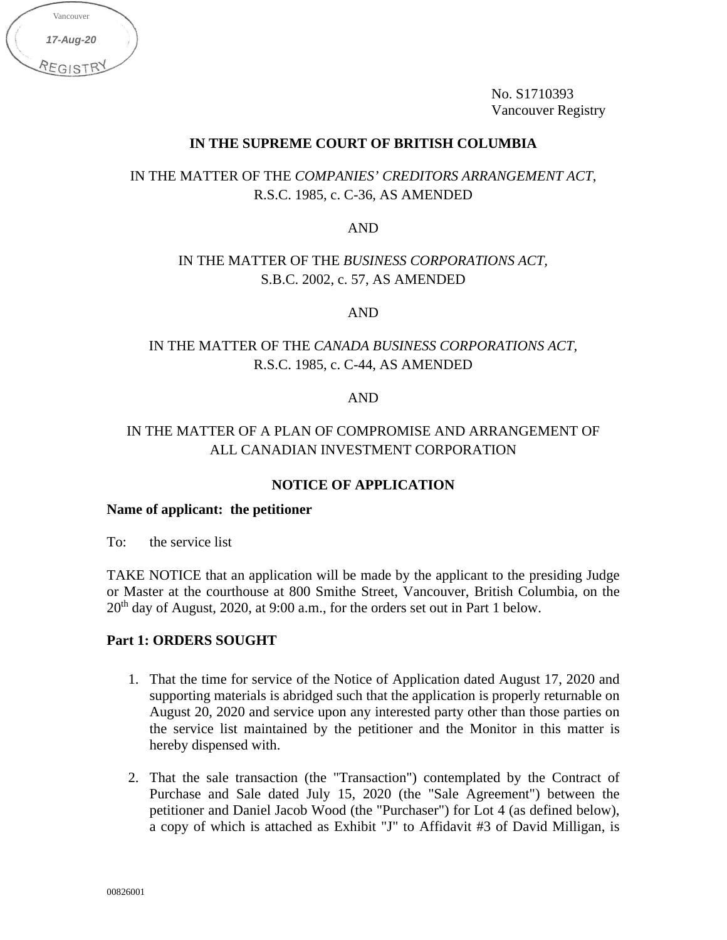| Vancouver          |  |
|--------------------|--|
| 17-Aug-20          |  |
| REGIS <sup>-</sup> |  |

No. S1710393 Vancouver Registry

# **IN THE SUPREME COURT OF BRITISH COLUMBIA**

IN THE MATTER OF THE *COMPANIES' CREDITORS ARRANGEMENT ACT*, R.S.C. 1985, c. C-36, AS AMENDED

AND

# IN THE MATTER OF THE *BUSINESS CORPORATIONS ACT,*  S.B.C. 2002, c. 57, AS AMENDED

AND

# IN THE MATTER OF THE *CANADA BUSINESS CORPORATIONS ACT,*  R.S.C. 1985, c. C-44, AS AMENDED

### AND

# IN THE MATTER OF A PLAN OF COMPROMISE AND ARRANGEMENT OF ALL CANADIAN INVESTMENT CORPORATION

### **NOTICE OF APPLICATION**

#### **Name of applicant: the petitioner**

To: the service list

TAKE NOTICE that an application will be made by the applicant to the presiding Judge or Master at the courthouse at 800 Smithe Street, Vancouver, British Columbia, on the  $20<sup>th</sup>$  day of August, 2020, at 9:00 a.m., for the orders set out in Part 1 below.

#### **Part 1: ORDERS SOUGHT**

- 1. That the time for service of the Notice of Application dated August 17, 2020 and supporting materials is abridged such that the application is properly returnable on August 20, 2020 and service upon any interested party other than those parties on the service list maintained by the petitioner and the Monitor in this matter is hereby dispensed with.
- 2. That the sale transaction (the "Transaction") contemplated by the Contract of Purchase and Sale dated July 15, 2020 (the "Sale Agreement") between the petitioner and Daniel Jacob Wood (the "Purchaser") for Lot 4 (as defined below), a copy of which is attached as Exhibit "J" to Affidavit #3 of David Milligan, is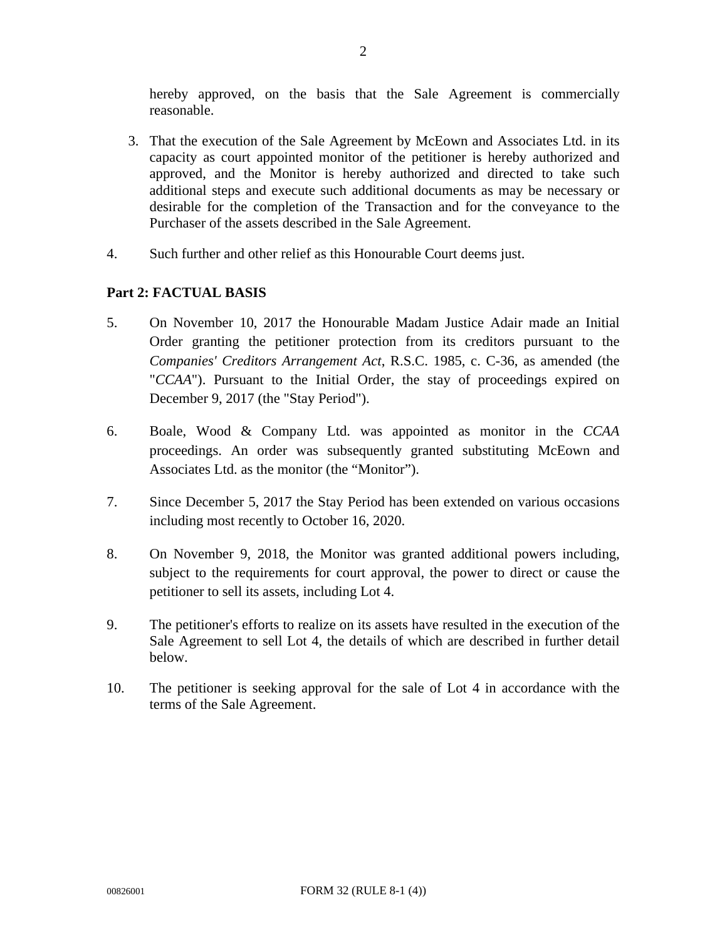hereby approved, on the basis that the Sale Agreement is commercially reasonable.

- 3. That the execution of the Sale Agreement by McEown and Associates Ltd. in its capacity as court appointed monitor of the petitioner is hereby authorized and approved, and the Monitor is hereby authorized and directed to take such additional steps and execute such additional documents as may be necessary or desirable for the completion of the Transaction and for the conveyance to the Purchaser of the assets described in the Sale Agreement.
- 4. Such further and other relief as this Honourable Court deems just.

# **Part 2: FACTUAL BASIS**

- 5. On November 10, 2017 the Honourable Madam Justice Adair made an Initial Order granting the petitioner protection from its creditors pursuant to the *Companies' Creditors Arrangement Act*, R.S.C. 1985, c. C-36, as amended (the "*CCAA*"). Pursuant to the Initial Order, the stay of proceedings expired on December 9, 2017 (the "Stay Period").
- 6. Boale, Wood & Company Ltd. was appointed as monitor in the *CCAA* proceedings. An order was subsequently granted substituting McEown and Associates Ltd. as the monitor (the "Monitor").
- 7. Since December 5, 2017 the Stay Period has been extended on various occasions including most recently to October 16, 2020.
- 8. On November 9, 2018, the Monitor was granted additional powers including, subject to the requirements for court approval, the power to direct or cause the petitioner to sell its assets, including Lot 4.
- 9. The petitioner's efforts to realize on its assets have resulted in the execution of the Sale Agreement to sell Lot 4, the details of which are described in further detail below.
- 10. The petitioner is seeking approval for the sale of Lot 4 in accordance with the terms of the Sale Agreement.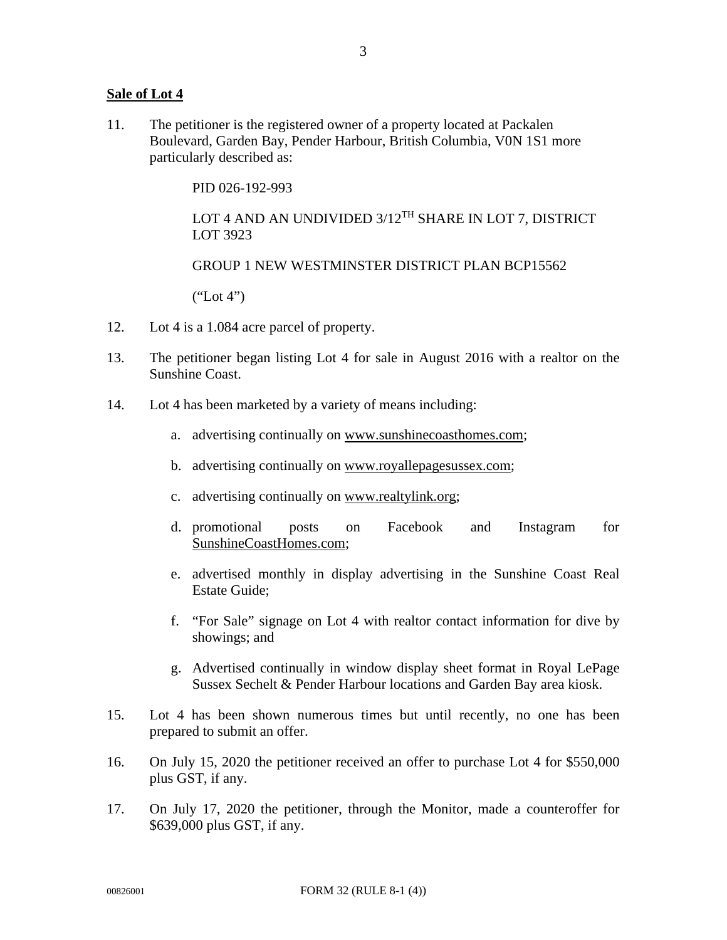### **Sale of Lot 4**

11. The petitioner is the registered owner of a property located at Packalen Boulevard, Garden Bay, Pender Harbour, British Columbia, V0N 1S1 more particularly described as:

PID 026-192-993

LOT 4 AND AN UNDIVIDED 3/12<sup>TH</sup> SHARE IN LOT 7, DISTRICT LOT 3923

GROUP 1 NEW WESTMINSTER DISTRICT PLAN BCP15562

 $("Lot 4")$ 

- 12. Lot 4 is a 1.084 acre parcel of property.
- 13. The petitioner began listing Lot 4 for sale in August 2016 with a realtor on the Sunshine Coast.
- 14. Lot 4 has been marketed by a variety of means including:
	- a. advertising continually on www.sunshinecoasthomes.com;
	- b. advertising continually on www.royallepagesussex.com;
	- c. advertising continually on www.realtylink.org;
	- d. promotional posts on Facebook and Instagram for SunshineCoastHomes.com;
	- e. advertised monthly in display advertising in the Sunshine Coast Real Estate Guide;
	- f. "For Sale" signage on Lot 4 with realtor contact information for dive by showings; and
	- g. Advertised continually in window display sheet format in Royal LePage Sussex Sechelt & Pender Harbour locations and Garden Bay area kiosk.
- 15. Lot 4 has been shown numerous times but until recently, no one has been prepared to submit an offer.
- 16. On July 15, 2020 the petitioner received an offer to purchase Lot 4 for \$550,000 plus GST, if any.
- 17. On July 17, 2020 the petitioner, through the Monitor, made a counteroffer for \$639,000 plus GST, if any.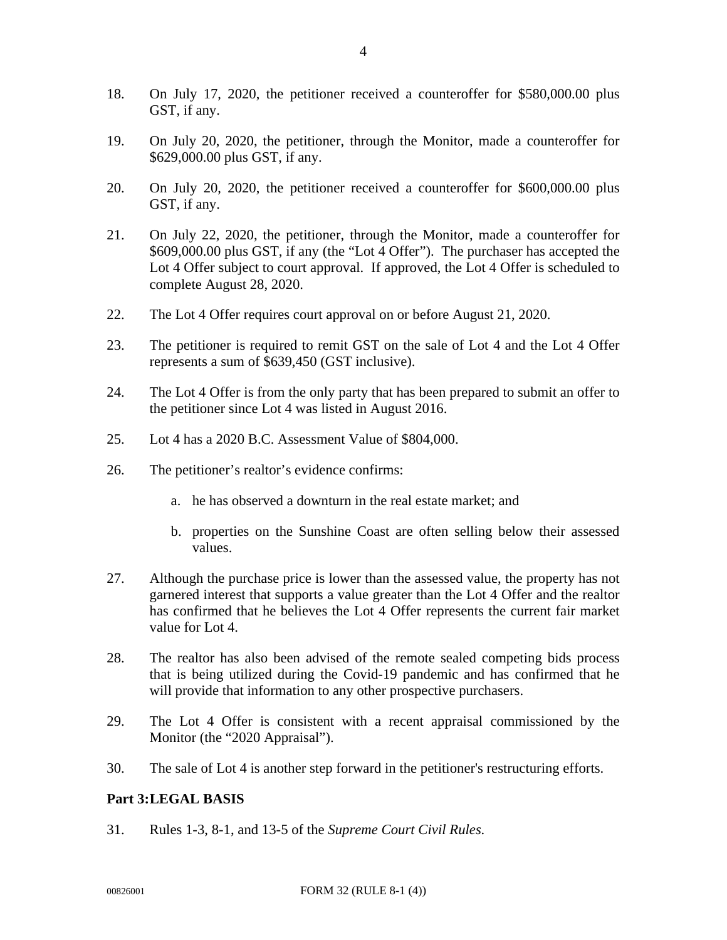- 18. On July 17, 2020, the petitioner received a counteroffer for \$580,000.00 plus GST, if any.
- 19. On July 20, 2020, the petitioner, through the Monitor, made a counteroffer for \$629,000.00 plus GST, if any.
- 20. On July 20, 2020, the petitioner received a counteroffer for \$600,000.00 plus GST, if any.
- 21. On July 22, 2020, the petitioner, through the Monitor, made a counteroffer for \$609,000.00 plus GST, if any (the "Lot 4 Offer"). The purchaser has accepted the Lot 4 Offer subject to court approval. If approved, the Lot 4 Offer is scheduled to complete August 28, 2020.
- 22. The Lot 4 Offer requires court approval on or before August 21, 2020.
- 23. The petitioner is required to remit GST on the sale of Lot 4 and the Lot 4 Offer represents a sum of \$639,450 (GST inclusive).
- 24. The Lot 4 Offer is from the only party that has been prepared to submit an offer to the petitioner since Lot 4 was listed in August 2016.
- 25. Lot 4 has a 2020 B.C. Assessment Value of \$804,000.
- 26. The petitioner's realtor's evidence confirms:
	- a. he has observed a downturn in the real estate market; and
	- b. properties on the Sunshine Coast are often selling below their assessed values.
- 27. Although the purchase price is lower than the assessed value, the property has not garnered interest that supports a value greater than the Lot 4 Offer and the realtor has confirmed that he believes the Lot 4 Offer represents the current fair market value for Lot 4.
- 28. The realtor has also been advised of the remote sealed competing bids process that is being utilized during the Covid-19 pandemic and has confirmed that he will provide that information to any other prospective purchasers.
- 29. The Lot 4 Offer is consistent with a recent appraisal commissioned by the Monitor (the "2020 Appraisal").
- 30. The sale of Lot 4 is another step forward in the petitioner's restructuring efforts.

# **Part 3: LEGAL BASIS**

31. Rules 1-3, 8-1, and 13-5 of the *Supreme Court Civil Rules*.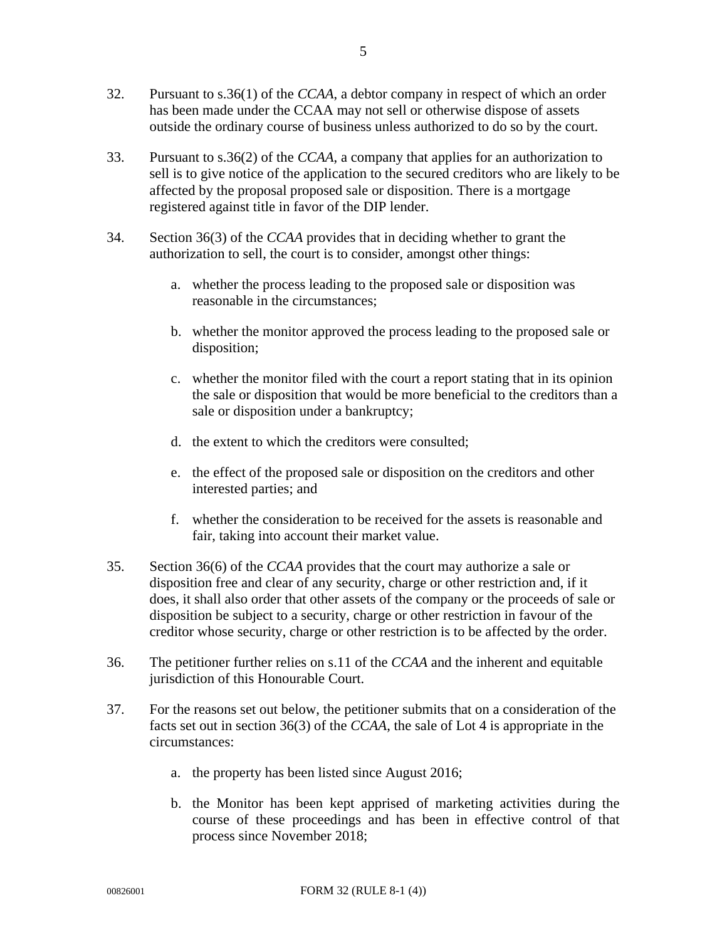- 32. Pursuant to s.36(1) of the *CCAA*, a debtor company in respect of which an order has been made under the CCAA may not sell or otherwise dispose of assets outside the ordinary course of business unless authorized to do so by the court.
- 33. Pursuant to s.36(2) of the *CCAA*, a company that applies for an authorization to sell is to give notice of the application to the secured creditors who are likely to be affected by the proposal proposed sale or disposition. There is a mortgage registered against title in favor of the DIP lender.
- 34. Section 36(3) of the *CCAA* provides that in deciding whether to grant the authorization to sell, the court is to consider, amongst other things:
	- a. whether the process leading to the proposed sale or disposition was reasonable in the circumstances;
	- b. whether the monitor approved the process leading to the proposed sale or disposition;
	- c. whether the monitor filed with the court a report stating that in its opinion the sale or disposition that would be more beneficial to the creditors than a sale or disposition under a bankruptcy;
	- d. the extent to which the creditors were consulted;
	- e. the effect of the proposed sale or disposition on the creditors and other interested parties; and
	- f. whether the consideration to be received for the assets is reasonable and fair, taking into account their market value.
- 35. Section 36(6) of the *CCAA* provides that the court may authorize a sale or disposition free and clear of any security, charge or other restriction and, if it does, it shall also order that other assets of the company or the proceeds of sale or disposition be subject to a security, charge or other restriction in favour of the creditor whose security, charge or other restriction is to be affected by the order.
- 36. The petitioner further relies on s.11 of the *CCAA* and the inherent and equitable jurisdiction of this Honourable Court.
- 37. For the reasons set out below, the petitioner submits that on a consideration of the facts set out in section 36(3) of the *CCAA*, the sale of Lot 4 is appropriate in the circumstances:
	- a. the property has been listed since August 2016;
	- b. the Monitor has been kept apprised of marketing activities during the course of these proceedings and has been in effective control of that process since November 2018;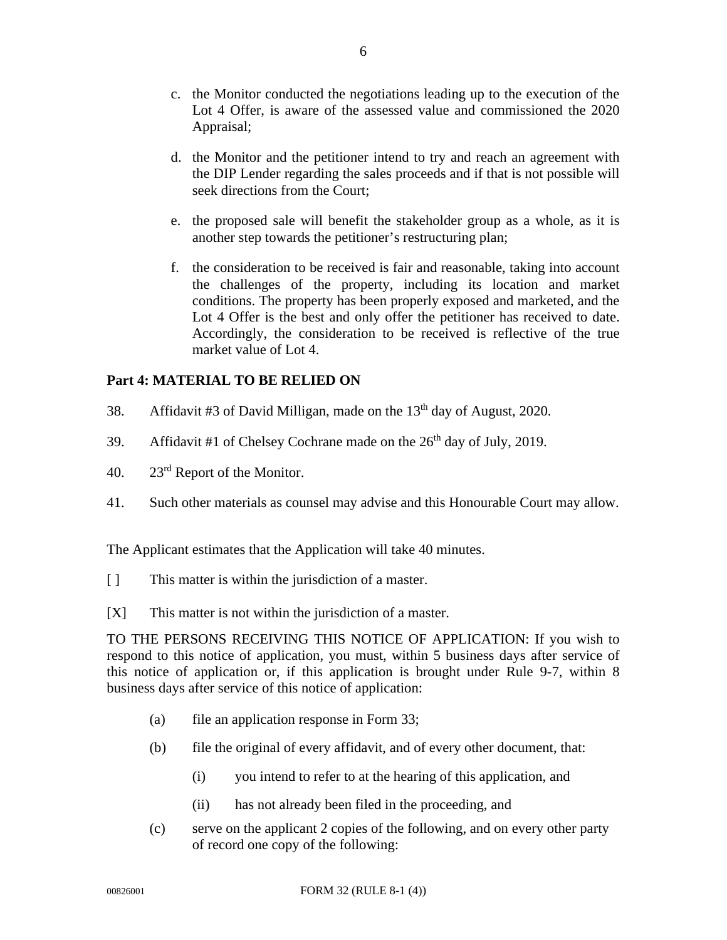- c. the Monitor conducted the negotiations leading up to the execution of the Lot 4 Offer, is aware of the assessed value and commissioned the 2020 Appraisal;
- d. the Monitor and the petitioner intend to try and reach an agreement with the DIP Lender regarding the sales proceeds and if that is not possible will seek directions from the Court;
- e. the proposed sale will benefit the stakeholder group as a whole, as it is another step towards the petitioner's restructuring plan;
- f. the consideration to be received is fair and reasonable, taking into account the challenges of the property, including its location and market conditions. The property has been properly exposed and marketed, and the Lot 4 Offer is the best and only offer the petitioner has received to date. Accordingly, the consideration to be received is reflective of the true market value of Lot 4.

# **Part 4: MATERIAL TO BE RELIED ON**

- 38. Affidavit #3 of David Milligan, made on the  $13<sup>th</sup>$  day of August, 2020.
- 39. Affidavit #1 of Chelsey Cochrane made on the  $26<sup>th</sup>$  day of July, 2019.
- 40. 23rd Report of the Monitor.
- 41. Such other materials as counsel may advise and this Honourable Court may allow.

The Applicant estimates that the Application will take 40 minutes.

- [ ] This matter is within the jurisdiction of a master.
- [X] This matter is not within the jurisdiction of a master.

TO THE PERSONS RECEIVING THIS NOTICE OF APPLICATION: If you wish to respond to this notice of application, you must, within 5 business days after service of this notice of application or, if this application is brought under Rule 9-7, within 8 business days after service of this notice of application:

- (a) file an application response in Form 33;
- (b) file the original of every affidavit, and of every other document, that:
	- (i) you intend to refer to at the hearing of this application, and
	- (ii) has not already been filed in the proceeding, and
- (c) serve on the applicant 2 copies of the following, and on every other party of record one copy of the following: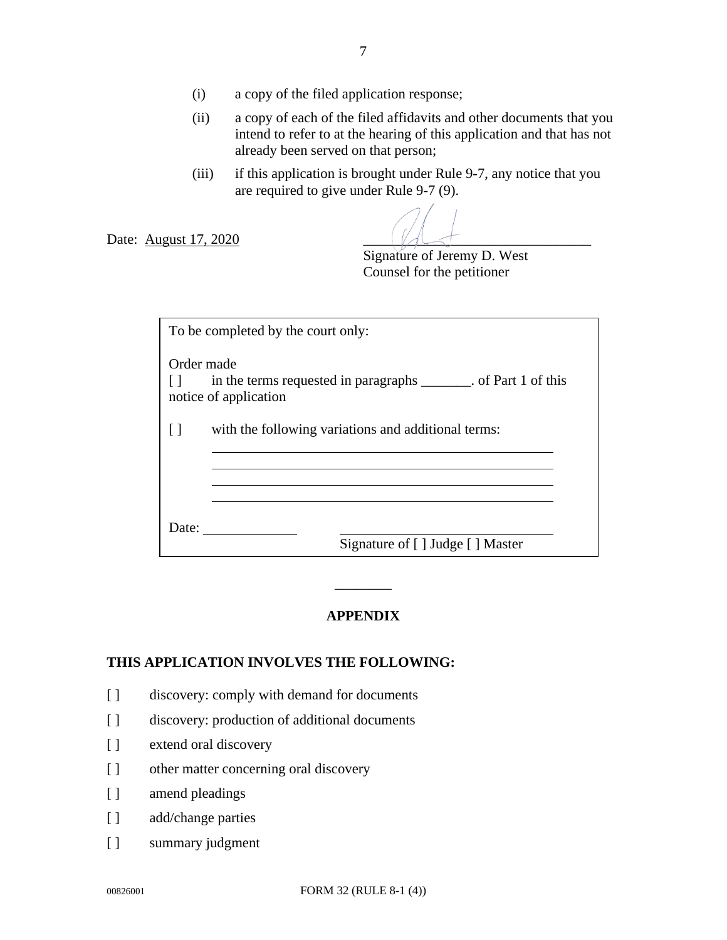- (ii) a copy of each of the filed affidavits and other documents that you intend to refer to at the hearing of this application and that has not already been served on that person;
- (iii) if this application is brought under Rule 9-7, any notice that you are required to give under Rule 9-7 (9).

Date: August 17, 2020

 Signature of Jeremy D. West Counsel for the petitioner

|            | To be completed by the court only:                                                        |
|------------|-------------------------------------------------------------------------------------------|
| Order made | in the terms requested in paragraphs ________. of Part 1 of this<br>notice of application |
|            | with the following variations and additional terms:                                       |
|            |                                                                                           |
|            |                                                                                           |
| Date:      | Signature of [] Judge [] Master                                                           |

# **APPENDIX**

 $\overline{\phantom{a}}$   $\overline{\phantom{a}}$ 

# **THIS APPLICATION INVOLVES THE FOLLOWING:**

- [] discovery: comply with demand for documents
- [] discovery: production of additional documents
- [ ] extend oral discovery
- [ ] other matter concerning oral discovery
- [ ] amend pleadings
- [ ] add/change parties
- [ ] summary judgment